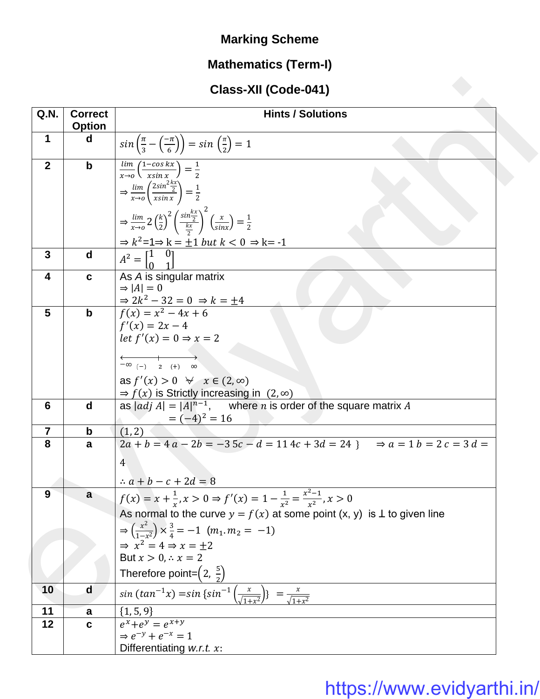### **Marking Scheme**

### **Mathematics (Term-I)**

### **Class-XII (Code-041)**

|                |                                 | Class-XII (Code-041)                                                                                                                                                                                                                                                                     |
|----------------|---------------------------------|------------------------------------------------------------------------------------------------------------------------------------------------------------------------------------------------------------------------------------------------------------------------------------------|
| Q.N.           | <b>Correct</b><br><b>Option</b> | <b>Hints / Solutions</b>                                                                                                                                                                                                                                                                 |
| $\mathbf 1$    | d                               | $sin\left(\frac{\pi}{3} - \left(\frac{-\pi}{6}\right)\right) = sin\left(\frac{\pi}{2}\right) = 1$                                                                                                                                                                                        |
| $\overline{2}$ | $\mathbf b$                     | $\frac{\lim}{x\rightarrow 0}\left(\frac{1-\cos kx}{x\sin x}\right)=\frac{1}{2}$<br>$\Rightarrow \frac{\lim}{x \to 0} \left( \frac{2\sin^2 \frac{x}{2}}{x \sin x} \right) = \frac{1}{2}$                                                                                                  |
|                |                                 | $\Rightarrow \frac{\lim}{x \to 0} 2 \left(\frac{k}{2}\right)^2 \left(\frac{\sin \frac{kx}{2}}{\frac{kx}{2}}\right)^2 \left(\frac{x}{\sin x}\right) = \frac{1}{2}$<br>$\Rightarrow k^2 = 1 \Rightarrow k = \pm 1$ but $k < 0 \Rightarrow k = -1$                                          |
| 3              | d                               | $A^2 = \begin{bmatrix} 1 & 0 \\ 0 & 1 \end{bmatrix}$                                                                                                                                                                                                                                     |
| 4              | C                               | As A is singular matrix<br>$\Rightarrow$  A  = 0                                                                                                                                                                                                                                         |
| 5              | $\mathbf b$                     | $\frac{1}{f(x)} = \frac{2k^2 - 32}{x^2 - 4x + 6}$<br>$f'(x) = 2x - 4$<br>let $f'(x) = 0 \Rightarrow x = 2$<br>$\longleftrightarrow$<br>$-\infty$ (-) 2 (+) $\infty$                                                                                                                      |
|                |                                 | as $f'(x) > 0 \quad \forall \quad x \in (2, \infty)$<br>$\Rightarrow$ $f(x)$ is Strictly increasing in (2, $\infty$ )                                                                                                                                                                    |
| 6              | d                               | as $ adj A  =  A ^{n-1}$ , where <i>n</i> is order of the square matrix A<br>$=(-4)^2 = 16$                                                                                                                                                                                              |
| $\overline{7}$ | $\mathbf b$                     | (1, 2)                                                                                                                                                                                                                                                                                   |
| 8              | a                               | $2a + b = 4a - 2b = -35c - d = 114c + 3d = 24$ $\Rightarrow a = 1 b = 2 c = 3 d =$<br>$\overline{4}$<br>$\therefore a + b - c + 2d = 8$                                                                                                                                                  |
| 9              | a                               | $f(x) = x + \frac{1}{x}, x > 0 \Rightarrow f'(x) = 1 - \frac{1}{x^2} = \frac{x^2 - 1}{x^2}, x > 0$<br>As normal to the curve $y = f(x)$ at some point $(x, y)$ is $\perp$ to given line<br>$\Rightarrow \left(\frac{x^2}{1-x^2}\right) \times \frac{3}{4} = -1 \ \ (m_1 \cdot m_2 = -1)$ |
|                |                                 | $\Rightarrow$ $x^2 = 4 \Rightarrow x = +2$<br>But $x > 0, \therefore x = 2$<br>Therefore point= $\left(2, \frac{5}{2}\right)$                                                                                                                                                            |
| 10             | d                               | $\frac{1}{\sin(\tan^{-1}x)} = \sin\{\sin^{-1}\left(\frac{x}{\sqrt{1+x^2}}\right)\} = \frac{x}{\sqrt{1+x^2}}$                                                                                                                                                                             |
| 11             | a                               | $\{1, 5, 9\}$                                                                                                                                                                                                                                                                            |
| 12             | C                               | $e^{x}+e^{y}=e^{x+y}$<br>$\Rightarrow e^{-y} + e^{-x} = 1$<br>Differentiating w.r.t. x:                                                                                                                                                                                                  |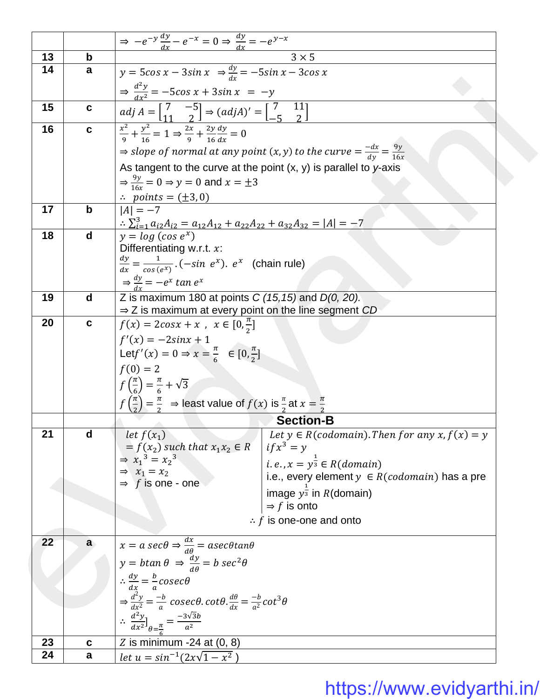|          |              | $\Rightarrow -e^{-y}\frac{dy}{dx} - e^{-x} = 0 \Rightarrow \frac{dy}{dx} = -e^{y-x}$                                              |
|----------|--------------|-----------------------------------------------------------------------------------------------------------------------------------|
| 13       | b            | $3 \times 5$                                                                                                                      |
| 14       | a            | $y = 5\cos x - 3\sin x \Rightarrow \frac{dy}{dx} = -5\sin x - 3\cos x$                                                            |
|          |              | $\Rightarrow \frac{d^2y}{dx^2} = -5\cos x + 3\sin x = -y$                                                                         |
| 15       | $\mathbf c$  | $adj A = \begin{bmatrix} 7 & -5 \\ 11 & 2 \end{bmatrix} \Rightarrow (adj A)' = \begin{bmatrix} 7 & 11 \\ -5 & 2 \end{bmatrix}$    |
| 16       | $\mathbf c$  | $\frac{x^2}{9} + \frac{y^2}{16} = 1 \Rightarrow \frac{2x}{9} + \frac{2y}{16} \frac{dy}{dx} = 0$                                   |
|          |              | $\Rightarrow$ slope of normal at any point $(x, y)$ to the curve $=$ $\frac{-dx}{dy}$ $=$ $\frac{9y}{16x}$                        |
|          |              | As tangent to the curve at the point $(x, y)$ is parallel to y-axis                                                               |
|          |              | $\Rightarrow \frac{9y}{16x} = 0 \Rightarrow y = 0$ and $x = \pm 3$                                                                |
|          |              | $\therefore$ points = ( $\pm$ 3,0)                                                                                                |
| 17       | $\mathbf b$  | $ A  = -7$                                                                                                                        |
|          |              | $\therefore \sum_{i=1}^{3} a_{i2}A_{i2} = a_{12}A_{12} + a_{22}A_{22} + a_{32}A_{32} =  A  = -7$                                  |
| 18       | $\mathbf d$  | $y = log (cos e^x)$                                                                                                               |
|          |              | Differentiating w.r.t. $x$ :                                                                                                      |
|          |              | $rac{dy}{dx} = \frac{1}{\cos(e^x)} \cdot (-\sin e^x) \cdot e^x$ (chain rule)                                                      |
|          |              | $\Rightarrow \frac{dy}{dx} = -e^x \tan e^x$                                                                                       |
| 19       | d            | Z is maximum 180 at points $C(15, 15)$ and $D(0, 20)$ .                                                                           |
| 20       | $\mathbf{c}$ | $\Rightarrow$ Z is maximum at every point on the line segment CD                                                                  |
|          |              | $f(x) = 2cosx + x$ , $x \in [0, \frac{\pi}{2}]$                                                                                   |
|          |              | $f'(x) = -2\sin x + 1$<br>Let $f'(x) = 0 \Rightarrow x = \frac{\pi}{6} \in [0, \frac{\pi}{2}]$                                    |
|          |              | $f(0) = 2$                                                                                                                        |
|          |              | $f\left(\frac{\pi}{6}\right) = \frac{\pi}{6} + \sqrt{3}$                                                                          |
|          |              |                                                                                                                                   |
|          |              | $f\left(\frac{\pi}{2}\right) = \frac{\pi}{2}$ $\Rightarrow$ least value of $f(x)$ is $\frac{\pi}{2}$ at $x = \frac{\pi}{2}$       |
|          |              | <b>Section-B</b>                                                                                                                  |
| 21       | d            | Let $y \in R(codomain)$ . Then for any $x, f(x) = y$<br>let $f(x_1)$<br>$= f(x_2)$ such that $x_1x_2 \in R$<br>$if x^3 = y$       |
|          |              | $\Rightarrow$ $x_1^3 = x_2^3$<br><i>i.e.</i> , $x = y^{\frac{1}{3}} \in R(domain)$                                                |
|          |              | $\Rightarrow$ $x_1 = x_2$<br>i.e., every element $y \in R(codomain)$ has a pre                                                    |
|          |              | $\Rightarrow$ f is one - one<br>image $y^{\frac{1}{3}}$ in R(domain)                                                              |
|          |              | $\Rightarrow$ f is onto                                                                                                           |
|          |              | $\therefore$ f is one-one and onto                                                                                                |
| 22       | a            | $x = a \sec\theta \Rightarrow \frac{dx}{d\theta} = a \sec\theta \tan\theta$                                                       |
|          |              | $y = b \tan \theta \Rightarrow \frac{dy}{d\theta} = b \sec^2 \theta$                                                              |
|          |              |                                                                                                                                   |
|          |              | $\therefore \frac{dy}{dx} = \frac{b}{a} \csc \theta$                                                                              |
|          |              | $\Rightarrow \frac{d^2y}{dx^2} = \frac{-b}{a} \csc\theta \cdot \cot\theta \cdot \frac{d\theta}{dx} = \frac{-b}{a^2} \cot^3\theta$ |
|          |              | $\therefore \frac{d^2y}{dx^2}\Big _{\theta=\frac{\pi}{a}} = \frac{-3\sqrt{3}b}{a^2}$                                              |
|          |              |                                                                                                                                   |
| 23<br>24 | C<br>a       | Z is minimum $-24$ at (0, 8)                                                                                                      |
|          |              | let $u = \sin^{-1}(2x\sqrt{1-x^2})$                                                                                               |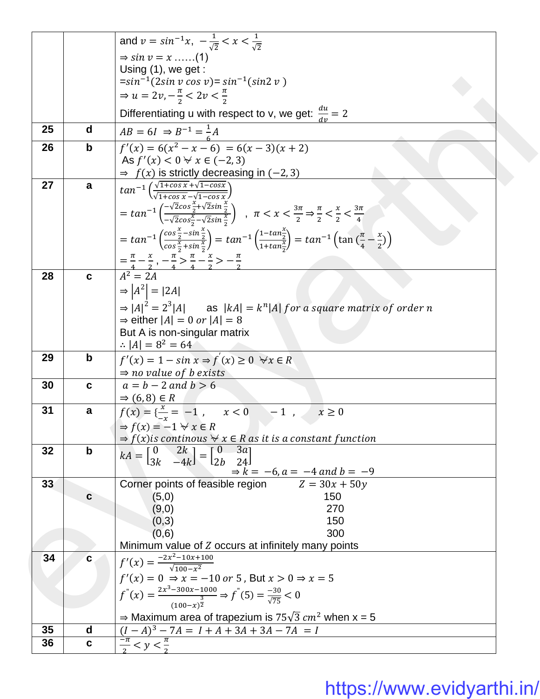|    |             | and $v = \sin^{-1}x$ , $-\frac{1}{\sqrt{2}} < x < \frac{1}{\sqrt{2}}$                                                                                                                                                                    |
|----|-------------|------------------------------------------------------------------------------------------------------------------------------------------------------------------------------------------------------------------------------------------|
|    |             | $\Rightarrow$ sin $v = x$ (1)                                                                                                                                                                                                            |
|    |             | Using $(1)$ , we get:                                                                                                                                                                                                                    |
|    |             | $=sin^{-1}(2\sin v \cos v) = \sin^{-1}(\sin 2 v)$                                                                                                                                                                                        |
|    |             | $\Rightarrow u = 2v, -\frac{\pi}{2} < 2v < \frac{\pi}{2}$                                                                                                                                                                                |
|    |             | Differentiating u with respect to v, we get: $\frac{du}{dx} = 2$                                                                                                                                                                         |
| 25 | d           | $AB = 6I \Rightarrow B^{-1} = \frac{1}{6}A$<br>$f'(x) = 6(x^2 - x - 6) = 6(x - 3)(x + 2)$                                                                                                                                                |
| 26 | $\mathbf b$ |                                                                                                                                                                                                                                          |
|    |             | As $f'(x) < 0 \forall x \in (-2, 3)$                                                                                                                                                                                                     |
| 27 | a           | $\Rightarrow$ $f(x)$ is strictly decreasing in (-2,3)                                                                                                                                                                                    |
|    |             | $tan^{-1}\left(\frac{\sqrt{1+cos x}+\sqrt{1-cos x}}{\sqrt{1+cos x}-\sqrt{1-cos x}}\right)$                                                                                                                                               |
|    |             | $= \tan^{-1}\left(\frac{-\sqrt{2}\cos\frac{x}{2}+\sqrt{2}\sin\frac{x}{2}}{-\sqrt{2}\cos\frac{x}{2}-\sqrt{2}\sin\frac{x}{2}}\right)$ , $\pi < x < \frac{3\pi}{2} \Rightarrow \frac{\pi}{2} < \frac{x}{2} < \frac{3\pi}{4}$                |
|    |             |                                                                                                                                                                                                                                          |
|    |             | $= \tan^{-1}\left(\frac{\cos\frac{x}{2}-\sin\frac{x}{2}}{\cos\frac{x}{2}+\sin\frac{x}{2}}\right) = \tan^{-1}\left(\frac{1-\tan\frac{x}{2}}{1+\tan\frac{x}{2}}\right) = \tan^{-1}\left(\tan\left(\frac{\pi}{4}-\frac{x}{2}\right)\right)$ |
|    |             |                                                                                                                                                                                                                                          |
|    |             | $\frac{-\frac{\pi}{4} - \frac{x}{2}}{4^2 - 2A}, \frac{-\frac{\pi}{4} - \frac{x}{4} - \frac{x}{2} > -\frac{\pi}{2}}{4^2 - 2A}$                                                                                                            |
| 28 | C           |                                                                                                                                                                                                                                          |
|    |             | $\Rightarrow  A^2  =  2A $                                                                                                                                                                                                               |
|    |             | $\Rightarrow$ $ A ^2 = 2^3  A $ as $ kA  = k^n  A $ for a square matrix of order n                                                                                                                                                       |
|    |             | $\Rightarrow$ either $ A  = 0$ or $ A  = 8$                                                                                                                                                                                              |
|    |             | But A is non-singular matrix                                                                                                                                                                                                             |
|    |             | $\therefore  A  = 8^2 = 64$                                                                                                                                                                                                              |
| 29 | $\mathbf b$ | $f'(x) = 1 - \sin x \Rightarrow f(x) \ge 0 \quad \forall x \in R$                                                                                                                                                                        |
|    |             | $\Rightarrow$ no value of b exists                                                                                                                                                                                                       |
| 30 | C           | $a = b - 2$ and $b > 6$                                                                                                                                                                                                                  |
|    |             | $\Rightarrow$ (6,8) $\in$ R                                                                                                                                                                                                              |
| 31 | a           | $f(x) = \frac{x}{x} = -1$ , $x < 0$ -1, $x \ge 0$                                                                                                                                                                                        |
|    |             | $\Rightarrow$ f(x) = -1 $\forall$ x $\in$ R                                                                                                                                                                                              |
|    |             | $\Rightarrow$ $f(x)$ is continous $\forall x \in R$ as it is a constant function                                                                                                                                                         |
| 32 | $\mathbf b$ | $kA = \begin{bmatrix} 0 & 2k \\ 3k & -4k \end{bmatrix} = \begin{bmatrix} 0 & 3a \\ 2b & 24 \end{bmatrix}$                                                                                                                                |
|    |             | $\Rightarrow k = -6$ , $a = -4$ and $b = -9$                                                                                                                                                                                             |
| 33 |             | Corner points of feasible region $Z = 30x + 50y$                                                                                                                                                                                         |
|    | C           | 150<br>(5,0)                                                                                                                                                                                                                             |
|    |             | (9,0)<br>270                                                                                                                                                                                                                             |
|    |             | (0,3)<br>150                                                                                                                                                                                                                             |
|    |             | (0,6)<br>300                                                                                                                                                                                                                             |
|    |             | Minimum value of Z occurs at infinitely many points                                                                                                                                                                                      |
| 34 | C           | $f'(x) = \frac{-2x^2 - 10x + 100}{\sqrt{100 - x^2}}$                                                                                                                                                                                     |
|    |             | $f'(x) = 0 \Rightarrow x = -10$ or 5, But $x > 0 \Rightarrow x = 5$                                                                                                                                                                      |
|    |             |                                                                                                                                                                                                                                          |
|    |             | $f''(x) = \frac{2x^3 - 300x - 1000}{(100 - x)^{\frac{3}{2}}} \Rightarrow f^{''}(5) = \frac{-30}{\sqrt{75}} < 0$                                                                                                                          |
|    |             | $\Rightarrow$ Maximum area of trapezium is 75 $\sqrt{3}$ cm <sup>2</sup> when x = 5                                                                                                                                                      |
| 35 | d           | $(I - A)3 - 7A = I + A + 3A + 3A - 7A = I$                                                                                                                                                                                               |
| 36 | $\mathbf c$ | $\frac{-\pi}{2} < y < \frac{\pi}{2}$                                                                                                                                                                                                     |
|    |             |                                                                                                                                                                                                                                          |